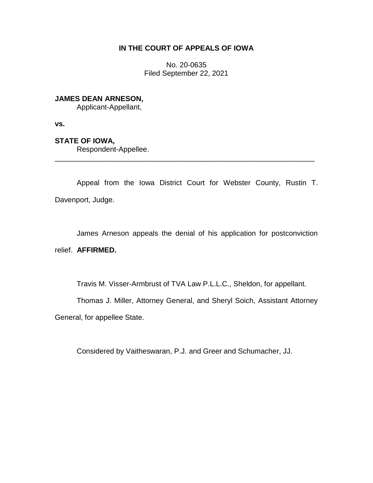### **IN THE COURT OF APPEALS OF IOWA**

No. 20-0635 Filed September 22, 2021

## **JAMES DEAN ARNESON,**

Applicant-Appellant,

**vs.**

# **STATE OF IOWA,**

Respondent-Appellee.

Appeal from the Iowa District Court for Webster County, Rustin T. Davenport, Judge.

\_\_\_\_\_\_\_\_\_\_\_\_\_\_\_\_\_\_\_\_\_\_\_\_\_\_\_\_\_\_\_\_\_\_\_\_\_\_\_\_\_\_\_\_\_\_\_\_\_\_\_\_\_\_\_\_\_\_\_\_\_\_\_\_

James Arneson appeals the denial of his application for postconviction relief. **AFFIRMED.**

Travis M. Visser-Armbrust of TVA Law P.L.L.C., Sheldon, for appellant.

Thomas J. Miller, Attorney General, and Sheryl Soich, Assistant Attorney

General, for appellee State.

Considered by Vaitheswaran, P.J. and Greer and Schumacher, JJ.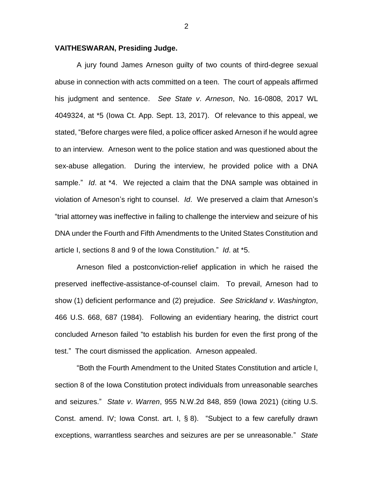### **VAITHESWARAN, Presiding Judge.**

A jury found James Arneson guilty of two counts of third-degree sexual abuse in connection with acts committed on a teen. The court of appeals affirmed his judgment and sentence. *See State v*. *Arneson*, No. 16-0808, 2017 WL 4049324, at \*5 (Iowa Ct. App. Sept. 13, 2017). Of relevance to this appeal, we stated, "Before charges were filed, a police officer asked Arneson if he would agree to an interview. Arneson went to the police station and was questioned about the sex-abuse allegation. During the interview, he provided police with a DNA sample." *Id*. at \*4. We rejected a claim that the DNA sample was obtained in violation of Arneson's right to counsel. *Id*. We preserved a claim that Arneson's "trial attorney was ineffective in failing to challenge the interview and seizure of his DNA under the Fourth and Fifth Amendments to the United States Constitution and article I, sections 8 and 9 of the Iowa Constitution." *Id*. at \*5.

Arneson filed a postconviction-relief application in which he raised the preserved ineffective-assistance-of-counsel claim. To prevail, Arneson had to show (1) deficient performance and (2) prejudice. *See Strickland v*. *Washington*, 466 U.S. 668, 687 (1984). Following an evidentiary hearing, the district court concluded Arneson failed "to establish his burden for even the first prong of the test." The court dismissed the application. Arneson appealed.

"Both the Fourth Amendment to the United States Constitution and article I, section 8 of the Iowa Constitution protect individuals from unreasonable searches and seizures." *State v*. *Warren*, 955 N.W.2d 848, 859 (Iowa 2021) (citing U.S. Const. amend. IV; Iowa Const. art. I, § 8). "Subject to a few carefully drawn exceptions, warrantless searches and seizures are per se unreasonable." *State* 

2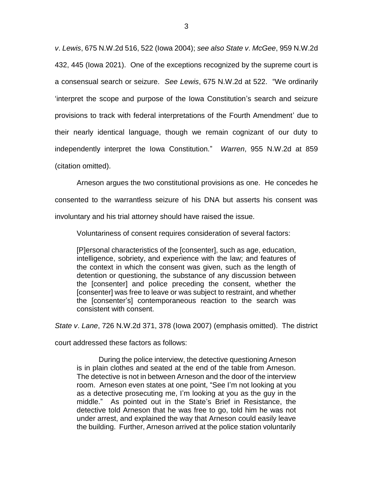*v*. *Lewis*, 675 N.W.2d 516, 522 (Iowa 2004); *see also State v*. *McGee*, 959 N.W.2d 432, 445 (Iowa 2021). One of the exceptions recognized by the supreme court is a consensual search or seizure. *See Lewis*, 675 N.W.2d at 522. "We ordinarily 'interpret the scope and purpose of the Iowa Constitution's search and seizure provisions to track with federal interpretations of the Fourth Amendment' due to their nearly identical language, though we remain cognizant of our duty to independently interpret the Iowa Constitution." *Warren*, 955 N.W.2d at 859 (citation omitted).

Arneson argues the two constitutional provisions as one. He concedes he consented to the warrantless seizure of his DNA but asserts his consent was involuntary and his trial attorney should have raised the issue.

Voluntariness of consent requires consideration of several factors:

[P]ersonal characteristics of the [consenter], such as age, education, intelligence, sobriety, and experience with the law; and features of the context in which the consent was given, such as the length of detention or questioning, the substance of any discussion between the [consenter] and police preceding the consent, whether the [consenter] was free to leave or was subject to restraint, and whether the [consenter's] contemporaneous reaction to the search was consistent with consent.

*State v*. *Lane*, 726 N.W.2d 371, 378 (Iowa 2007) (emphasis omitted). The district

court addressed these factors as follows:

During the police interview, the detective questioning Arneson is in plain clothes and seated at the end of the table from Arneson. The detective is not in between Arneson and the door of the interview room. Arneson even states at one point, "See I'm not looking at you as a detective prosecuting me, I'm looking at you as the guy in the middle." As pointed out in the State's Brief in Resistance, the detective told Arneson that he was free to go, told him he was not under arrest, and explained the way that Arneson could easily leave the building. Further, Arneson arrived at the police station voluntarily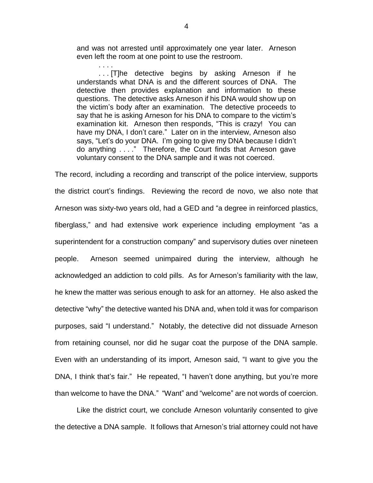and was not arrested until approximately one year later. Arneson even left the room at one point to use the restroom.

. . . . . . . [T]he detective begins by asking Arneson if he understands what DNA is and the different sources of DNA. The detective then provides explanation and information to these questions. The detective asks Arneson if his DNA would show up on the victim's body after an examination. The detective proceeds to say that he is asking Arneson for his DNA to compare to the victim's examination kit. Arneson then responds, "This is crazy! You can have my DNA, I don't care." Later on in the interview, Arneson also says, "Let's do your DNA. I'm going to give my DNA because I didn't do anything . . . ." Therefore, the Court finds that Arneson gave voluntary consent to the DNA sample and it was not coerced.

The record, including a recording and transcript of the police interview, supports the district court's findings. Reviewing the record de novo, we also note that Arneson was sixty-two years old, had a GED and "a degree in reinforced plastics, fiberglass," and had extensive work experience including employment "as a superintendent for a construction company" and supervisory duties over nineteen people. Arneson seemed unimpaired during the interview, although he acknowledged an addiction to cold pills. As for Arneson's familiarity with the law, he knew the matter was serious enough to ask for an attorney. He also asked the detective "why" the detective wanted his DNA and, when told it was for comparison purposes, said "I understand." Notably, the detective did not dissuade Arneson from retaining counsel, nor did he sugar coat the purpose of the DNA sample. Even with an understanding of its import, Arneson said, "I want to give you the DNA, I think that's fair." He repeated, "I haven't done anything, but you're more than welcome to have the DNA." "Want" and "welcome" are not words of coercion.

Like the district court, we conclude Arneson voluntarily consented to give the detective a DNA sample. It follows that Arneson's trial attorney could not have